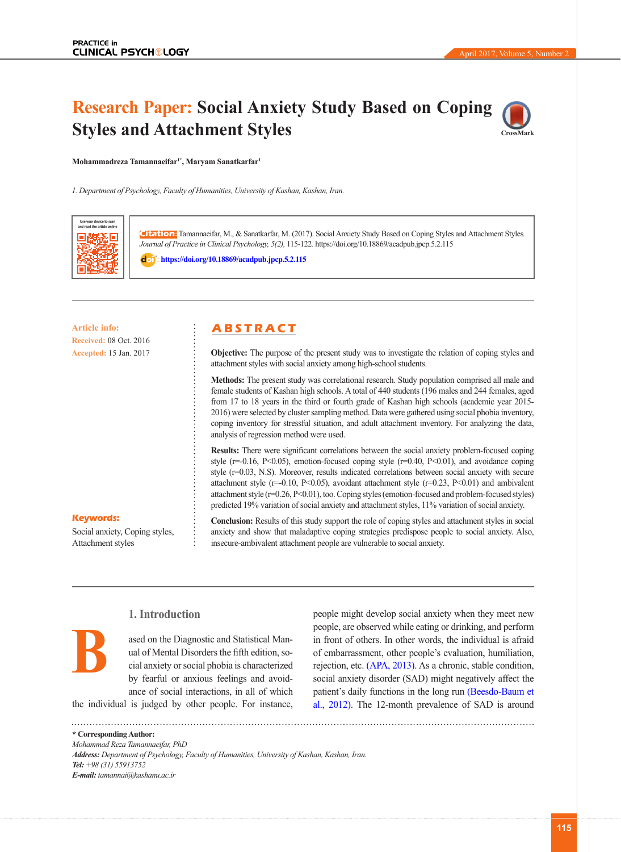# **Research Paper: Social Anxiety Study Based on Coping Styles and Attachment Styles**



**Mohammadreza Tamannaeifar1\*, Maryam Sanatkarfar1**

*1. Department of Psychology, Faculty of Humanities, University of Kashan, Kashan, Iran.*



**Citation:** Tamannaeifar, M., & Sanatkarfar, M. (2017). Social Anxiety Study Based on Coping Styles and Attachment Styles*. Journal of Practice in Clinical Psychology, 5(2),* 115-122*.* https://doi.org/10.18869/acadpub.jpcp.5.2.115

: **<https://doi.org/10.18869/acadpub.jpcp.5.2.115>**

**Article info: A B S T R A C T Received:** 08 Oct. 2016 **Accepted:** 15 Jan. 2017

**Objective:** The purpose of the present study was to investigate the relation of coping styles and attachment styles with social anxiety among high-school students.

**Methods:** The present study was correlational research. Study population comprised all male and female students of Kashan high schools. A total of 440 students (196 males and 244 females, aged from 17 to 18 years in the third or fourth grade of Kashan high schools (academic year 2015- 2016) were selected by cluster sampling method. Data were gathered using social phobia inventory, coping inventory for stressful situation, and adult attachment inventory. For analyzing the data, analysis of regression method were used.

**Results:** There were significant correlations between the social anxiety problem-focused coping style ( $r=0.16$ ,  $P<0.05$ ), emotion-focused coping style ( $r=0.40$ ,  $P<0.01$ ), and avoidance coping style (r=0.03, N.S). Moreover, results indicated correlations between social anxiety with secure attachment style ( $r=0.10$ ,  $P<0.05$ ), avoidant attachment style ( $r=0.23$ ,  $P<0.01$ ) and ambivalent attachment style (r=0.26, P<0.01), too. Coping styles (emotion-focused and problem-focused styles) predicted 19% variation of social anxiety and attachment styles, 11% variation of social anxiety.

### **Keywords:**

**B**

Social anxiety, Coping styles, Attachment styles

**Conclusion:** Results of this study support the role of coping styles and attachment styles in social anxiety and show that maladaptive coping strategies predispose people to social anxiety. Also, insecure-ambivalent attachment people are vulnerable to social anxiety.

# **1. Introduction**

ased on the Diagnostic and Statistical Manual of Mental Disorders the fifth edition, social anxiety or social phobia is characterized by fearful or anxious feelings and avoidance of social interactions, in all of which

the individual is judged by other people. For instance,

people, are observed while eating or drinking, and perform in front of others. In other words, the individual is afraid of embarrassment, other people's evaluation, humiliation, rejection, etc. [\(APA, 2013\)](#page-6-0). As a chronic, stable condition, social anxiety disorder (SAD) might negatively affect the patient's daily functions in the long run (Beesdo-Baum et al., 2012). The 12-month prevalence of SAD is around

people might develop social anxiety when they meet new

**\* Corresponding Author:** *Mohammad Reza Tamannaeifar, PhD Address: Department of Psychology, Faculty of Humanities, University of Kashan, Kashan, Iran. Tel: +98 (31) 55913752 E-mail: tamannai@kashanu.ac.ir*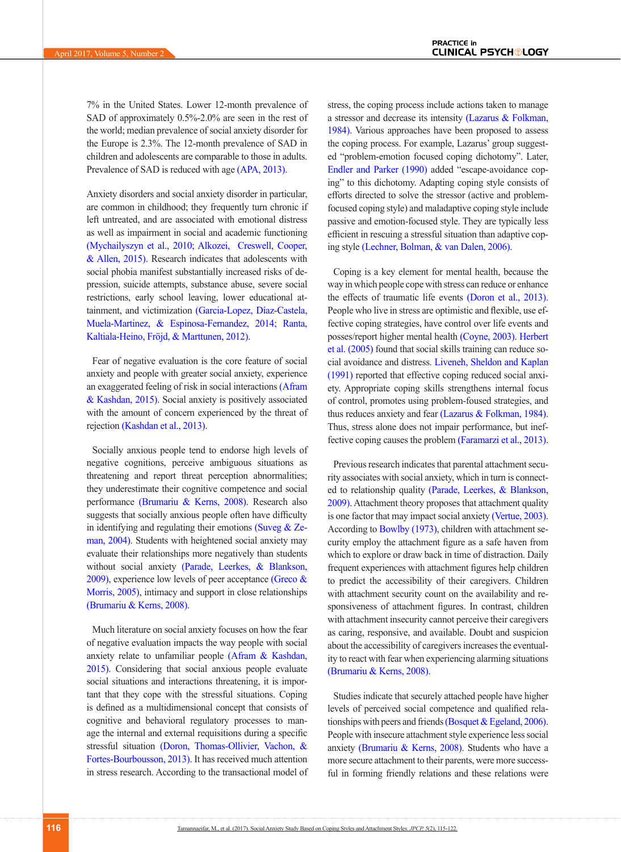7% in the United States. Lower 12-month prevalence of SAD of approximately 0.5%-2.0% are seen in the rest of the world; median prevalence of social anxiety disorder for the Europe is 2.3%. The 12-month prevalence of SAD in children and adolescents are comparable to those in adults. Prevalence of SAD is reduced with age [\(APA, 2013\).](#page-6-0)

Anxiety disorders and social anxiety disorder in particular, are common in childhood; they frequently turn chronic if left untreated, and are associated with emotional distress as well as impairment in social and academic functioning (Mychailyszyn et al., 2010; [Alkozei, Creswell, Cooper,](#page-6-1)  [& Allen, 2015\)](#page-6-1). Research indicates that adolescents with social phobia manifest substantially increased risks of depression, suicide attempts, substance abuse, severe social restrictions, early school leaving, lower educational attainment, and victimization (Garcia-Lopez, Díaz-Castela, Muela-Martinez, & Espinosa-Fernandez, 2014; Ranta, Kaltiala-Heino, Fröjd, & Marttunen, 2012).

Fear of negative evaluation is the core feature of social anxiety and people with greater social anxiety, experience an exaggerated feeling of risk in social interactions [\(Afram](#page-6-2)  [& Kashdan, 2015\).](#page-6-2) Social anxiety is positively associated with the amount of concern experienced by the threat of rejection [\(Kashdan et al., 2013\)](#page-7-0).

Socially anxious people tend to endorse high levels of negative cognitions, perceive ambiguous situations as threatening and report threat perception abnormalities; they underestimate their cognitive competence and social performance [\(Brumariu & Kerns, 2008\).](#page-6-3) Research also suggests that socially anxious people often have difficulty in identifying and regulating their emotions (Suveg  $& Ze$ [man, 2004\).](#page-7-1) Students with heightened social anxiety may evaluate their relationships more negatively than students without social anxiety [\(Parade, Leerkes, & Blankson,](#page-7-2)   $2009$ ), experience low levels of peer acceptance (Greco  $\&$ [Morris, 2005\),](#page-6-4) intimacy and support in close relationships [\(Brumariu & Kerns, 2008\).](#page-6-3)

Much literature on social anxiety focuses on how the fear of negative evaluation impacts the way people with social anxiety relate to unfamiliar people [\(Afram & Kashdan,](#page-6-2)  [2015\).](#page-6-2) Considering that social anxious people evaluate social situations and interactions threatening, it is important that they cope with the stressful situations. Coping is defined as a multidimensional concept that consists of cognitive and behavioral regulatory processes to manage the internal and external requisitions during a specific stressful situation [\(Doron, Thomas-Ollivier, Vachon, &](#page-6-5)  [Fortes-Bourbousson, 2013\)](#page-6-5). It has received much attention in stress research. According to the transactional model of stress, the coping process include actions taken to manage a stressor and decrease its intensity [\(Lazarus & Folkman,](#page-7-3)  [1984\)](#page-7-3). Various approaches have been proposed to assess the coping process. For example, Lazarus' group suggested "problem-emotion focused coping dichotomy". Later, [Endler and Parker \(1990\)](#page-6-6) added "escape-avoidance coping" to this dichotomy. Adapting coping style consists of efforts directed to solve the stressor (active and problemfocused coping style) and maladaptive coping style include passive and emotion-focused style. They are typically less efficient in rescuing a stressful situation than adaptive coping style [\(Lechner, Bolman, & van Dalen, 2006\).](#page-7-4)

Coping is a key element for mental health, because the way in which people cope with stress can reduce or enhance the effects of traumatic life events [\(Doron et al., 2013\)](#page-6-5). People who live in stress are optimistic and flexible, use effective coping strategies, have control over life events and posses/report higher mental health [\(Coyne, 2003\)](#page-6-7). [Herbert](#page-7-5)  [et al. \(2005\)](#page-7-5) found that social skills training can reduce social avoidance and distress. [Liveneh, Sheldon and Kaplan](#page-7-6)  [\(1991\)](#page-7-6) reported that effective coping reduced social anxiety. Appropriate coping skills strengthens internal focus of control, promotes using problem-foused strategies, and thus reduces anxiety and fear [\(Lazarus & Folkman, 1984\)](#page-7-3). Thus, stress alone does not impair performance, but ineffective coping causes the problem [\(Faramarzi et al., 2013\)](#page-6-8).

Previous research indicates that parental attachment security associates with social anxiety, which in turn is connected to relationship quality [\(Parade, Leerkes, & Blankson,](#page-7-2)  [2009\)](#page-7-2). Attachment theory proposes that attachment quality is one factor that may impact social anxiety [\(Vertue, 2003\)](#page-7-7). According to [Bowlby \(1973\)](#page-6-9), children with attachment security employ the attachment figure as a safe haven from which to explore or draw back in time of distraction. Daily frequent experiences with attachment figures help children to predict the accessibility of their caregivers. Children with attachment security count on the availability and responsiveness of attachment figures. In contrast, children with attachment insecurity cannot perceive their caregivers as caring, responsive, and available. Doubt and suspicion about the accessibility of caregivers increases the eventuality to react with fear when experiencing alarming situations [\(Brumariu & Kerns, 2008\).](#page-6-3)

Studies indicate that securely attached people have higher levels of perceived social competence and qualified relationships with peers and friends (Bosquet  $&$  Egeland, 2006). People with insecure attachment style experience less social anxiety [\(Brumariu & Kerns, 2008\).](#page-6-3) Students who have a more secure attachment to their parents, were more successful in forming friendly relations and these relations were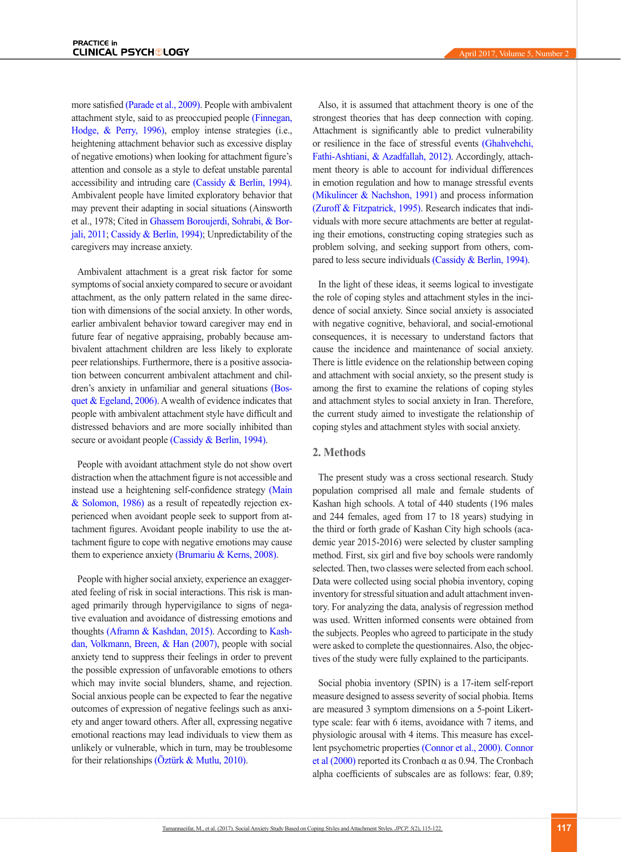more satisfied [\(Parade et al., 2009\)](#page-7-2). People with ambivalent attachment style, said to as preoccupied people [\(Finnegan,](#page-6-11) [Hodge, & Perry, 1996\)](#page-6-11), employ intense strategies (i.e., heightening attachment behavior such as excessive display of negative emotions) when looking for attachment figure's attention and console as a style to defeat unstable parental accessibility and intruding care [\(Cassidy & Berlin, 1994\).](#page-6-12) Ambivalent people have limited exploratory behavior that may prevent their adapting in social situations (Ainsworth et al., 1978; Cited in [Ghassem Boroujerdi, Sohrabi, & Bor](#page-6-13)[jali, 2011](#page-6-13); [Cassidy & Berlin, 1994\);](#page-6-12) Unpredictability of the caregivers may increase anxiety.

Ambivalent attachment is a great risk factor for some symptoms of social anxiety compared to secure or avoidant attachment, as the only pattern related in the same direction with dimensions of the social anxiety. In other words, earlier ambivalent behavior toward caregiver may end in future fear of negative appraising, probably because ambivalent attachment children are less likely to explorate peer relationships. Furthermore, there is a positive association between concurrent ambivalent attachment and children's anxiety in unfamiliar and general situations [\(Bos](#page-6-10)[quet & Egeland, 2006\)](#page-6-10). A wealth of evidence indicates that people with ambivalent attachment style have difficult and distressed behaviors and are more socially inhibited than secure or avoidant people [\(Cassidy & Berlin, 1994\).](#page-6-12)

People with avoidant attachment style do not show overt distraction when the attachment figure is not accessible and instead use a heightening self-confidence strategy [\(Main](#page-7-8) [& Solomon, 1986\)](#page-7-8) as a result of repeatedly rejection experienced when avoidant people seek to support from attachment figures. Avoidant people inability to use the attachment figure to cope with negative emotions may cause them to experience anxiety [\(Brumariu & Kerns, 2008\)](#page-6-3).

People with higher social anxiety, experience an exaggerated feeling of risk in social interactions. This risk is managed primarily through hypervigilance to signs of negative evaluation and avoidance of distressing emotions and thought[s \(Aframn & Kashdan, 2015\).](#page-6-2) According to [Kash](#page-7-9)[dan, Volkmann, Breen, & Han \(2007\)](#page-7-9), people with social anxiety tend to suppress their feelings in order to prevent the possible expression of unfavorable emotions to others which may invite social blunders, shame, and rejection. Social anxious people can be expected to fear the negative outcomes of expression of negative feelings such as anxiety and anger toward others. After all, expressing negative emotional reactions may lead individuals to view them as unlikely or vulnerable, which in turn, may be troublesome for their relationships [\(Öztürk & Mutlu, 2010\)](#page-7-10).

Also, it is assumed that attachment theory is one of the strongest theories that has deep connection with coping. Attachment is significantly able to predict vulnerability or resilience in the face of stressful events [\(Ghahvehchi,](#page-6-14)  [Fathi-Ashtiani, & Azadfallah, 2012\).](#page-6-14) Accordingly, attachment theory is able to account for individual differences in emotion regulation and how to manage stressful events [\(Mikulincer & Nachshon, 1991\)](#page-7-11) and process information [\(Zuroff & Fitzpatrick, 1995\)](#page-7-12). Research indicates that individuals with more secure attachments are better at regulating their emotions, constructing coping strategies such as problem solving, and seeking support from others, compared to less secure individuals [\(Cassidy & Berlin, 1994\)](#page-6-12).

In the light of these ideas, it seems logical to investigate the role of coping styles and attachment styles in the incidence of social anxiety. Since social anxiety is associated with negative cognitive, behavioral, and social-emotional consequences, it is necessary to understand factors that cause the incidence and maintenance of social anxiety. There is little evidence on the relationship between coping and attachment with social anxiety, so the present study is among the first to examine the relations of coping styles and attachment styles to social anxiety in Iran. Therefore, the current study aimed to investigate the relationship of coping styles and attachment styles with social anxiety.

#### **2. Methods**

The present study was a cross sectional research. Study population comprised all male and female students of Kashan high schools. A total of 440 students (196 males and 244 females, aged from 17 to 18 years) studying in the third or forth grade of Kashan City high schools (academic year 2015-2016) were selected by cluster sampling method. First, six girl and five boy schools were randomly selected. Then, two classes were selected from each school. Data were collected using social phobia inventory, coping inventory for stressful situation and adult attachment inventory. For analyzing the data, analysis of regression method was used. Written informed consents were obtained from the subjects. Peoples who agreed to participate in the study were asked to complete the questionnaires. Also, the objectives of the study were fully explained to the participants.

Social phobia inventory (SPIN) is a 17-item self-report measure designed to assess severity of social phobia. Items are measured 3 symptom dimensions on a 5-point Likerttype scale: fear with 6 items, avoidance with 7 items, and physiologic arousal with 4 items. This measure has excellent psychometric properties [\(Connor et al., 2000\)](#page-6-15). [Connor](#page-6-15)  et al  $(2000)$  reported its Cronbach  $\alpha$  as 0.94. The Cronbach alpha coefficients of subscales are as follows: fear, 0.89;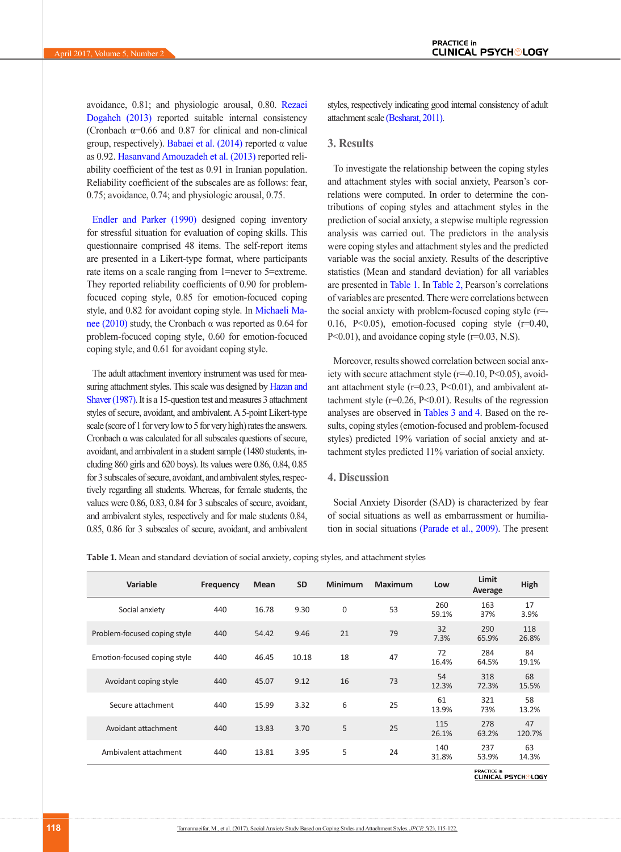avoidance, 0.81; and physiologic arousal, 0.80. [Rezaei](#page-7-13)  [Dogaheh \(2013\)](#page-7-13) reported suitable internal consistency (Cronbach  $\alpha$ =0.66 and 0.87 for clinical and non-clinical group, respectively). [Babaei et al. \(2014\)](#page-6-16) reported α value as 0.92. [Hasanvand Amouzadeh et al. \(2013\)](#page-6-17) reported reliability coefficient of the test as 0.91 in Iranian population. Reliability coefficient of the subscales are as follows: fear, 0.75; avoidance, 0.74; and physiologic arousal, 0.75.

[Endler and Parker \(1990\)](#page-6-6) designed coping inventory for stressful situation for evaluation of coping skills. This questionnaire comprised 48 items. The self-report items are presented in a Likert-type format, where participants rate items on a scale ranging from 1=never to 5=extreme. They reported reliability coefficients of 0.90 for problemfocuced coping style, 0.85 for emotion-focuced coping style, and 0.82 for avoidant coping style. In [Michaeli Ma](#page-7-14)[nee \(2010\)](#page-7-14) study, the Cronbach α was reported as 0.64 for problem-focuced coping style, 0.60 for emotion-focuced coping style, and 0.61 for avoidant coping style.

The adult attachment inventory instrument was used for measuring attachment styles. This scale was designed by Hazan and [Shaver \(1987\).](#page-6-18) It is a 15-question test and measures 3 attachment styles of secure, avoidant, and ambivalent. A 5-point Likert-type scale (score of 1 for very low to 5 for very high) rates the answers. Cronbach α was calculated for all subscales questions of secure, avoidant, and ambivalent in a student sample (1480 students, including 860 girls and 620 boys). Its values were 0.86, 0.84, 0.85 for 3 subscales of secure, avoidant, and ambivalent styles, respectively regarding all students. Whereas, for female students, the values were 0.86, 0.83, 0.84 for 3 subscales of secure, avoidant, and ambivalent styles, respectively and for male students 0.84, 0.85, 0.86 for 3 subscales of secure, avoidant, and ambivalent styles, respectively indicating good internal consistency of adult attachment scale [\(Besharat, 2011\)](#page-6-19).

#### **3. Results**

To investigate the relationship between the coping styles and attachment styles with social anxiety, Pearson's correlations were computed. In order to determine the contributions of coping styles and attachment styles in the prediction of social anxiety, a stepwise multiple regression analysis was carried out. The predictors in the analysis were coping styles and attachment styles and the predicted variable was the social anxiety. Results of the descriptive statistics (Mean and standard deviation) for all variables are presented in [Table 1](#page-3-0). In [Table 2, P](#page-4-0)earson's correlations of variables are presented. There were correlations between the social anxiety with problem-focused coping style (r=- 0.16, P<0.05), emotion-focused coping style  $(r=0.40,$ P<0.01), and avoidance coping style (r=0.03, N.S).

Moreover, results showed correlation between social anxiety with secure attachment style  $(r=0.10, P<0.05)$ , avoidant attachment style  $(r=0.23, P<0.01)$ , and ambivalent attachment style  $(r=0.26, P<0.01)$ . Results of the regression analyses are observed in [Tables 3](#page-4-1) [and 4](#page-4-2). Based on the results, coping styles (emotion-focused and problem-focused styles) predicted 19% variation of social anxiety and attachment styles predicted 11% variation of social anxiety.

# **4. Discussion**

Social Anxiety Disorder (SAD) is characterized by fear of social situations as well as embarrassment or humiliation in social situations [\(Parade et al., 2009\)](#page-7-2). The present

<span id="page-3-0"></span>**Table 1.** Mean and standard deviation of social anxiety, coping styles, and attachment styles

| Variable                     | <b>Frequency</b> | <b>Mean</b> | <b>SD</b> | <b>Minimum</b> | <b>Maximum</b> | Low          | Limit<br>Average | High         |
|------------------------------|------------------|-------------|-----------|----------------|----------------|--------------|------------------|--------------|
| Social anxiety               | 440              | 16.78       | 9.30      | $\mathbf 0$    | 53             | 260<br>59.1% | 163<br>37%       | 17<br>3.9%   |
| Problem-focused coping style | 440              | 54.42       | 9.46      | 21             | 79             | 32<br>7.3%   | 290<br>65.9%     | 118<br>26.8% |
| Emotion-focused coping style | 440              | 46.45       | 10.18     | 18             | 47             | 72<br>16.4%  | 284<br>64.5%     | 84<br>19.1%  |
| Avoidant coping style        | 440              | 45.07       | 9.12      | 16             | 73             | 54<br>12.3%  | 318<br>72.3%     | 68<br>15.5%  |
| Secure attachment            | 440              | 15.99       | 3.32      | 6              | 25             | 61<br>13.9%  | 321<br>73%       | 58<br>13.2%  |
| Avoidant attachment          | 440              | 13.83       | 3.70      | 5              | 25             | 115<br>26.1% | 278<br>63.2%     | 47<br>120.7% |
| Ambivalent attachment        | 440              | 13.81       | 3.95      | 5              | 24             | 140<br>31.8% | 237<br>53.9%     | 63<br>14.3%  |

**PRACTICE in**<br>CLINICAL PSYCH®LOGY

**118**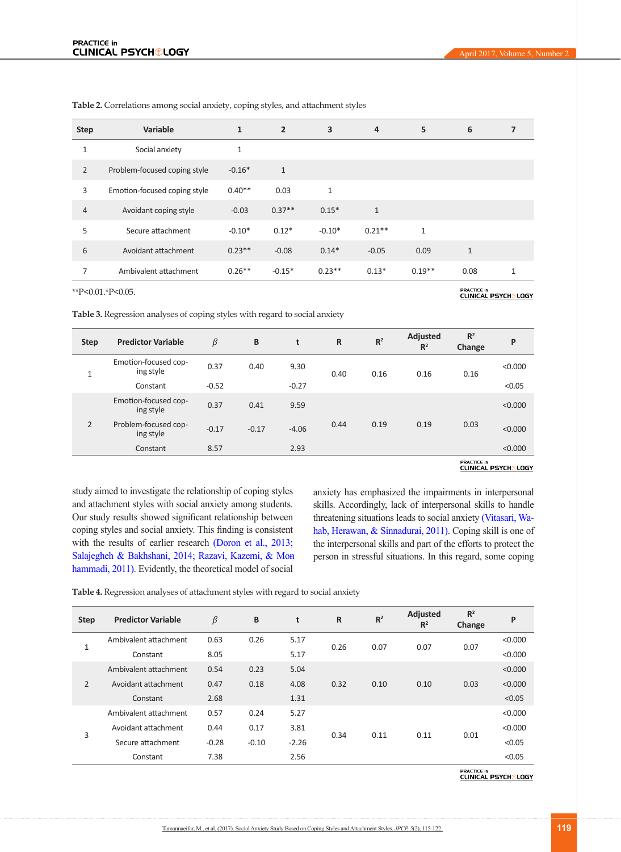| <b>Step</b>    | Variable                     | $\mathbf{1}$ | $\overline{2}$ | 3            | 4            | 5            | 6            | 7            |
|----------------|------------------------------|--------------|----------------|--------------|--------------|--------------|--------------|--------------|
| $\mathbf{1}$   | Social anxiety               | $\mathbf{1}$ |                |              |              |              |              |              |
| $\overline{2}$ | Problem-focused coping style | $-0.16*$     | $\mathbf{1}$   |              |              |              |              |              |
| 3              | Emotion-focused coping style | $0.40**$     | 0.03           | $\mathbf{1}$ |              |              |              |              |
| $\overline{4}$ | Avoidant coping style        | $-0.03$      | $0.37**$       | $0.15*$      | $\mathbf{1}$ |              |              |              |
| 5              | Secure attachment            | $-0.10*$     | $0.12*$        | $-0.10*$     | $0.21**$     | $\mathbf{1}$ |              |              |
| 6              | Avoidant attachment          | $0.23**$     | $-0.08$        | $0.14*$      | $-0.05$      | 0.09         | $\mathbf{1}$ |              |
| 7              | Ambivalent attachment        | $0.26**$     | $-0.15*$       | $0.23**$     | $0.13*$      | $0.19**$     | 0.08         | $\mathbf{1}$ |

<span id="page-4-0"></span>**Table 2.** Correlations among social anxiety, coping styles, and attachment styles

\*\*P<0.01.\*P<0.05.

PRACTICE in<br>CLINICAL PSYCH®LOGY

<span id="page-4-1"></span>

| Emotion-focused cop-<br>0.37<br>9.30<br>0.40<br>< 0.000<br>ing style<br>0.16<br>0.40<br>0.16<br>0.16<br>$\mathbf{1}$<br>$-0.52$<br>$-0.27$<br>< 0.05<br>Constant<br>Emotion-focused cop-<br>0.37<br>0.41<br>9.59<br>< 0.000<br>ing style<br>$\overline{2}$<br>Problem-focused cop-<br>0.19<br>0.03<br>0.44<br>0.19<br>$-0.17$<br>$-0.17$<br>$-4.06$<br>< 0.000<br>ing style<br>8.57<br>2.93<br>< 0.000<br>Constant | <b>Step</b> | <b>Predictor Variable</b> | β | B | t | $\mathsf{R}$ | R <sup>2</sup> | Adjusted<br>R <sup>2</sup> | R <sup>2</sup><br>Change | P |
|--------------------------------------------------------------------------------------------------------------------------------------------------------------------------------------------------------------------------------------------------------------------------------------------------------------------------------------------------------------------------------------------------------------------|-------------|---------------------------|---|---|---|--------------|----------------|----------------------------|--------------------------|---|
|                                                                                                                                                                                                                                                                                                                                                                                                                    |             |                           |   |   |   |              |                |                            |                          |   |
|                                                                                                                                                                                                                                                                                                                                                                                                                    |             |                           |   |   |   |              |                |                            |                          |   |
|                                                                                                                                                                                                                                                                                                                                                                                                                    |             |                           |   |   |   |              |                |                            |                          |   |
|                                                                                                                                                                                                                                                                                                                                                                                                                    |             |                           |   |   |   |              |                |                            |                          |   |
|                                                                                                                                                                                                                                                                                                                                                                                                                    |             |                           |   |   |   |              |                |                            |                          |   |

# **PRACTICE in**<br>CLINICAL PSYCH®LOGY

study aimed to investigate the relationship of coping styles and attachment styles with social anxiety among students. Our study results showed significant relationship between coping styles and social anxiety. This finding is consistent with the results of earlier research [\(Doron et al., 2013;](#page-6-5) [Salajegheh & Bakhshani, 2014;](#page-7-15) Razavi, Kazemi, & Mon [hammadi, 2011\)](#page-7-16). Evidently, the theoretical model of social

anxiety has emphasized the impairments in interpersonal skills. Accordingly, lack of interpersonal skills to handle threatening situations leads to social anxiety [\(Vitasari, Wa](#page-7-17)[hab, Herawan, & Sinnadurai, 2011\).](#page-7-17) Coping skill is one of the interpersonal skills and part of the efforts to protect the person in stressful situations. In this regard, some coping

<span id="page-4-2"></span>**Table 4.** Regression analyses of attachment styles with regard to social anxiety

| <b>Step</b>    | <b>Predictor Variable</b> | β       | B       | t       | $\mathsf{R}$ | R <sup>2</sup> | <b>Adjusted</b><br>R <sup>2</sup> | R <sup>2</sup><br>Change | P       |
|----------------|---------------------------|---------|---------|---------|--------------|----------------|-----------------------------------|--------------------------|---------|
|                | Ambivalent attachment     | 0.63    | 0.26    | 5.17    | 0.26         |                |                                   |                          | < 0.000 |
| 1              | Constant                  | 8.05    |         | 5.17    |              | 0.07           | 0.07                              | 0.07                     | < 0.000 |
|                | Ambivalent attachment     | 0.54    | 0.23    | 5.04    | 0.32         | 0.10           | 0.10                              | 0.03                     | < 0.000 |
| $\overline{2}$ | Avoidant attachment       | 0.47    | 0.18    | 4.08    |              |                |                                   |                          | < 0.000 |
|                | Constant                  | 2.68    |         | 1.31    |              |                |                                   |                          | < 0.05  |
| 3              | Ambivalent attachment     | 0.57    | 0.24    | 5.27    | 0.34         | 0.11           | 0.11                              | 0.01                     | < 0.000 |
|                | Avoidant attachment       | 0.44    | 0.17    | 3.81    |              |                |                                   |                          | < 0.000 |
|                | Secure attachment         | $-0.28$ | $-0.10$ | $-2.26$ |              |                |                                   |                          | < 0.05  |
|                | Constant                  | 7.38    |         | 2.56    |              |                |                                   |                          | < 0.05  |

PRACTICE in<br>CLINICAL PSYCH®LOGY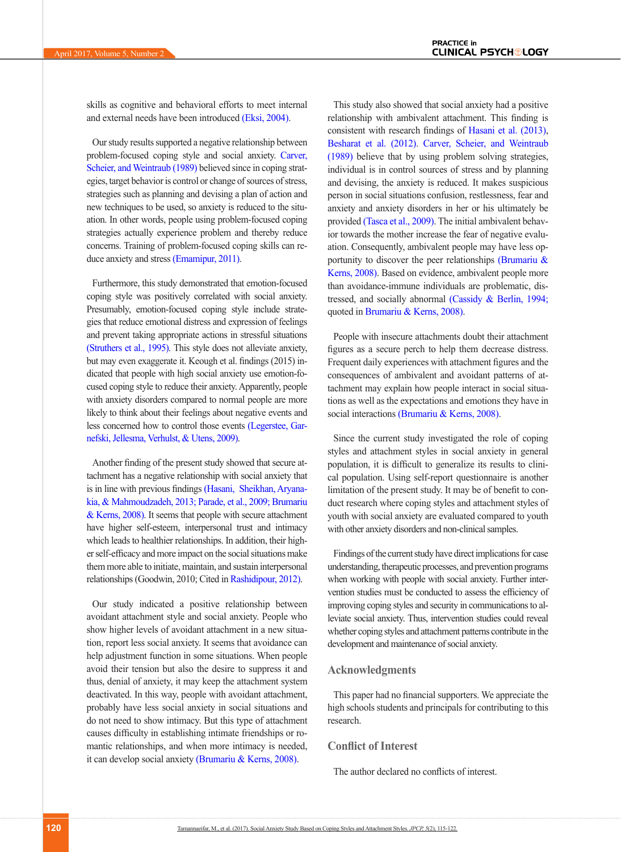skills as cognitive and behavioral efforts to meet internal and external needs have been introduced [\(Eksi, 2004\)](#page-6-20).

Our study results supported a negative relationship between problem-focused coping style and social anxiety. [Carver,](#page-6-21)  [Scheier, and Weintraub \(1989\)](#page-6-21) believed since in coping strategies, target behavior is control or change of sources of stress, strategies such as planning and devising a plan of action and new techniques to be used, so anxiety is reduced to the situation. In other words, people using problem-focused coping strategies actually experience problem and thereby reduce concerns. Training of problem-focused coping skills can re-duce anxiety and stress [\(Emamipur, 2011\)](#page-6-22).

Furthermore, this study demonstrated that emotion-focused coping style was positively correlated with social anxiety. Presumably, emotion-focused coping style include strategies that reduce emotional distress and expression of feelings and prevent taking appropriate actions in stressful situations [\(Struthers et al., 1995\).](#page-7-18) This style does not alleviate anxiety, but may even exaggerate it. Keough et al. findings (2015) indicated that people with high social anxiety use emotion-focused coping style to reduce their anxiety. Apparently, people with anxiety disorders compared to normal people are more likely to think about their feelings about negative events and less concerned how to control those events [\(Legerstee, Gar](#page-7-19)[nefski, Jellesma, Verhulst, & Utens, 2009\).](#page-7-19)

Another finding of the present study showed that secure attachment has a negative relationship with social anxiety that is in line with previous findings [\(Hasani, Sheikhan, Aryana](#page-6-23)[kia, & Mahmoudzadeh, 2013;](#page-6-23) [Parade, et al., 2009;](#page-7-2) [Brumariu](#page-6-3)  [& Kerns, 2008\)](#page-6-3). It seems that people with secure attachment have higher self-esteem, interpersonal trust and intimacy which leads to healthier relationships. In addition, their higher self-efficacy and more impact on the social situations make them more able to initiate, maintain, and sustain interpersonal relationships (Goodwin, 2010; Cited i[n Rashidipour, 2012\).](#page-7-20)

Our study indicated a positive relationship between avoidant attachment style and social anxiety. People who show higher levels of avoidant attachment in a new situation, report less social anxiety. It seems that avoidance can help adjustment function in some situations. When people avoid their tension but also the desire to suppress it and thus, denial of anxiety, it may keep the attachment system deactivated. In this way, people with avoidant attachment, probably have less social anxiety in social situations and do not need to show intimacy. But this type of attachment causes difficulty in establishing intimate friendships or romantic relationships, and when more intimacy is needed, it can develop social anxiety [\(Brumariu & Kerns, 2008\)](#page-6-3).

This study also showed that social anxiety had a positive relationship with ambivalent attachment. This finding is consistent with research findings of [Hasani et al. \(2013\)](#page-6-23), [Besharat et al. \(2012\).](#page-6-24) [Carver, Scheier, and Weintraub](#page-6-21)  [\(1989\)](#page-6-21) believe that by using problem solving strategies, individual is in control sources of stress and by planning and devising, the anxiety is reduced. It makes suspicious person in social situations confusion, restlessness, fear and anxiety and anxiety disorders in her or his ultimately be provided [\(Tasca et al., 2009\)](#page-7-21). The initial ambivalent behavior towards the mother increase the fear of negative evaluation. Consequently, ambivalent people may have less opportunity to discover the peer relationships (Brumariu  $\&$ [Kerns, 2008\)](#page-6-3). Based on evidence, ambivalent people more than avoidance-immune individuals are problematic, distressed, and socially abnormal [\(Cassidy & Berlin, 1994;](#page-6-12)  quoted i[n Brumariu & Kerns, 2008\).](#page-6-3)

People with insecure attachments doubt their attachment figures as a secure perch to help them decrease distress. Frequent daily experiences with attachment figures and the consequences of ambivalent and avoidant patterns of attachment may explain how people interact in social situations as well as the expectations and emotions they have in social interactions [\(Brumariu & Kerns, 2008\).](#page-6-3)

Since the current study investigated the role of coping styles and attachment styles in social anxiety in general population, it is difficult to generalize its results to clinical population. Using self-report questionnaire is another limitation of the present study. It may be of benefit to conduct research where coping styles and attachment styles of youth with social anxiety are evaluated compared to youth with other anxiety disorders and non-clinical samples.

Findings of the current study have direct implications for case understanding, therapeutic processes, and prevention programs when working with people with social anxiety. Further intervention studies must be conducted to assess the efficiency of improving coping styles and security in communications to alleviate social anxiety. Thus, intervention studies could reveal whether coping styles and attachment patterns contribute in the development and maintenance of social anxiety.

# **Acknowledgments**

This paper had no financial supporters. We appreciate the high schools students and principals for contributing to this research.

## **Conflict of Interest**

The author declared no conflicts of interest.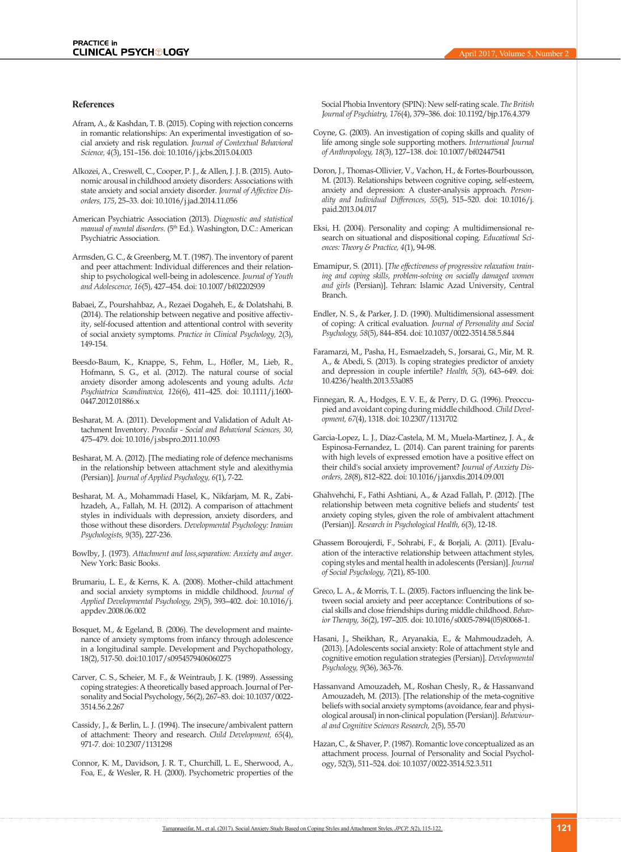#### **References**

- <span id="page-6-2"></span>Afram, A., & Kashdan, T. B. (2015). Coping with rejection concerns in romantic relationships: An experimental investigation of social anxiety and risk regulation. *Journal of Contextual Behavioral Science, 4*(3), 151–156. doi: 10.1016/j.jcbs.2015.04.003
- <span id="page-6-1"></span>Alkozei, A., Creswell, C., Cooper, P. J., & Allen, J. J. B. (2015). Autonomic arousal in childhood anxiety disorders: Associations with state anxiety and social anxiety disorder. *Journal of Affective Disorders, 175*, 25–33. doi: 10.1016/j.jad.2014.11.056
- <span id="page-6-0"></span>American Psychiatric Association (2013). *Diagnostic and statistical manual of mental disorders*. (5th Ed.). Washington, D.C.: American Psychiatric Association.
- Armsden, G. C., & Greenberg, M. T. (1987). The inventory of parent and peer attachment: Individual differences and their relationship to psychological well-being in adolescence. *Journal of Youth and Adolescence, 16*(5), 427–454. doi: 10.1007/bf02202939
- <span id="page-6-16"></span>Babaei, Z., Pourshahbaz, A., Rezaei Dogaheh, E., & Dolatshahi, B. (2014). The relationship between negative and positive affectivity, self-focused attention and attentional control with severity of social anxiety symptoms. *Practice in Clinical Psychology, 2*(3), 149-154.
- Beesdo-Baum, K., Knappe, S., Fehm, L., Höfler, M., Lieb, R., Hofmann, S. G., et al. (2012). The natural course of social anxiety disorder among adolescents and young adults. *Acta Psychiatrica Scandinavica, 126*(6), 411–425. doi: 10.1111/j.1600- 0447.2012.01886.x
- <span id="page-6-19"></span>Besharat, M. A. (2011). Development and Validation of Adult Attachment Inventory. *Procedia - Social and Behavioral Sciences, 30*, 475–479. doi: 10.1016/j.sbspro.2011.10.093
- <span id="page-6-24"></span>Besharat, M. A. (2012). [The mediating role of defence mechanisms in the relationship between attachment style and alexithymia (Persian)]. *Journal of Applied Psychology, 6*(1), 7-22.
- Besharat, M. A., Mohammadi Hasel, K., Nikfarjam, M. R., Zabihzadeh, A., Fallah, M. H. (2012). A comparison of attachment styles in individuals with depression, anxiety disorders, and those without these disorders. *Developmental Psychology: Iranian Psychologists, 9*(35), 227-236.
- <span id="page-6-9"></span>Bowlby, J. (1973). *Attachment and loss,separation: Anxiety and anger.* New York: Basic Books.
- <span id="page-6-3"></span>Brumariu, L. E., & Kerns, K. A. (2008). Mother–child attachment and social anxiety symptoms in middle childhood. *Journal of Applied Developmental Psychology, 29*(5), 393–402. doi: 10.1016/j. appdev.2008.06.002
- <span id="page-6-10"></span>Bosquet, M., & Egeland, B. (2006). The development and maintenance of anxiety symptoms from infancy through adolescence in a longitudinal sample. Development and Psychopathology, 18(2), 517-50. doi:10.1017/s0954579406060275
- <span id="page-6-21"></span>Carver, C. S., Scheier, M. F., & Weintraub, J. K. (1989). Assessing coping strategies: A theoretically based approach. Journal of Personality and Social Psychology, 56(2), 267–83. doi: 10.1037/0022- 3514.56.2.267
- <span id="page-6-12"></span>Cassidy, J., & Berlin, L. J. (1994). The insecure/ambivalent pattern of attachment: Theory and research. *Child Development, 65*(4), 971-7. doi: 10.2307/1131298
- <span id="page-6-15"></span>Connor, K. M., Davidson, J. R. T., Churchill, L. E., Sherwood, A., Foa, E., & Wesler, R. H. (2000). Psychometric properties of the

Social Phobia Inventory (SPIN): New self-rating scale. *The British Journal of Psychiatry, 176*(4), 379–386. doi: 10.1192/bjp.176.4.379

- <span id="page-6-7"></span>Coyne, G. (2003). An investigation of coping skills and quality of life among single sole supporting mothers. *International Journal of Anthropology, 18*(3), 127–138. doi: 10.1007/bf02447541
- <span id="page-6-5"></span>Doron, J., Thomas-Ollivier, V., Vachon, H., & Fortes-Bourbousson, M. (2013). Relationships between cognitive coping, self-esteem, anxiety and depression: A cluster-analysis approach. *Personality and Individual Differences, 55*(5), 515–520. doi: 10.1016/j. paid.2013.04.017
- <span id="page-6-20"></span>Eksi, H. (2004). Personality and coping: A multidimensional research on situational and dispositional coping. *Educational Sciences: Theory & Practice, 4*(1), 94-98.
- <span id="page-6-22"></span>Emamipur, S. (2011). [*The effectiveness of progressive relaxation training and coping skills, problem-solving on socially damaged women and girls* (Persian)]. Tehran: Islamic Azad University, Central Branch.
- <span id="page-6-6"></span>Endler, N. S., & Parker, J. D. (1990). Multidimensional assessment of coping: A critical evaluation. *Journal of Personality and Social Psychology, 58*(5), 844–854. doi: 10.1037/0022-3514.58.5.844
- <span id="page-6-8"></span>Faramarzi, M., Pasha, H., Esmaelzadeh, S., Jorsarai, G., Mir, M. R. A., & Abedi, S. (2013). Is coping strategies predictor of anxiety and depression in couple infertile? *Health, 5*(3), 643–649. doi: 10.4236/health.2013.53a085
- <span id="page-6-11"></span>Finnegan, R. A., Hodges, E. V. E., & Perry, D. G. (1996). Preoccupied and avoidant coping during middle childhood. *Child Development, 67*(4), 1318. doi: 10.2307/1131702
- Garcia-Lopez, L. J., Díaz-Castela, M. M., Muela-Martinez, J. A., & Espinosa-Fernandez, L. (2014). Can parent training for parents with high levels of expressed emotion have a positive effect on their child's social anxiety improvement? *Journal of Anxiety Disorders, 28*(8), 812–822. doi: 10.1016/j.janxdis.2014.09.001
- <span id="page-6-14"></span>Ghahvehchi, F., Fathi Ashtiani, A., & Azad Fallah, P. (2012). [The relationship between meta cognitive beliefs and students' test anxiety coping styles, given the role of ambivalent attachment (Persian)]. *Research in Psychological Health, 6*(3), 12-18.
- <span id="page-6-13"></span>Ghassem Boroujerdi, F., Sohrabi, F., & Borjali, A. (2011). [Evaluation of the interactive relationship between attachment styles, coping styles and mental health in adolescents (Persian)]. *Journal of Social Psychology, 7*(21), 85-100.
- <span id="page-6-4"></span>Greco, L. A., & Morris, T. L. (2005). Factors influencing the link between social anxiety and peer acceptance: Contributions of social skills and close friendships during middle childhood. *Behavior Therapy, 36*(2), 197–205. doi: 10.1016/s0005-7894(05)80068-1.
- <span id="page-6-23"></span>Hasani, J., Sheikhan, R., Aryanakia, E., & Mahmoudzadeh, A. (2013). [Adolescents social anxiety: Role of attachment style and cognitive emotion regulation strategies (Persian)]. *Developmental Psychology, 9*(36), 363-76.
- <span id="page-6-17"></span>Hassanvand Amouzadeh, M., Roshan Chesly, R., & Hassanvand Amouzadeh, M. (2013). [The relationship of the meta-cognitive beliefs with social anxiety symptoms (avoidance, fear and physiological arousal) in non-clinical population (Persian)]. *Behavioural and Cognitive Sciences Research, 2*(5), 55-70
- <span id="page-6-18"></span>Hazan, C., & Shaver, P. (1987). Romantic love conceptualized as an attachment process. Journal of Personality and Social Psychology, 52(3), 511–524. doi: 10.1037/0022-3514.52.3.511